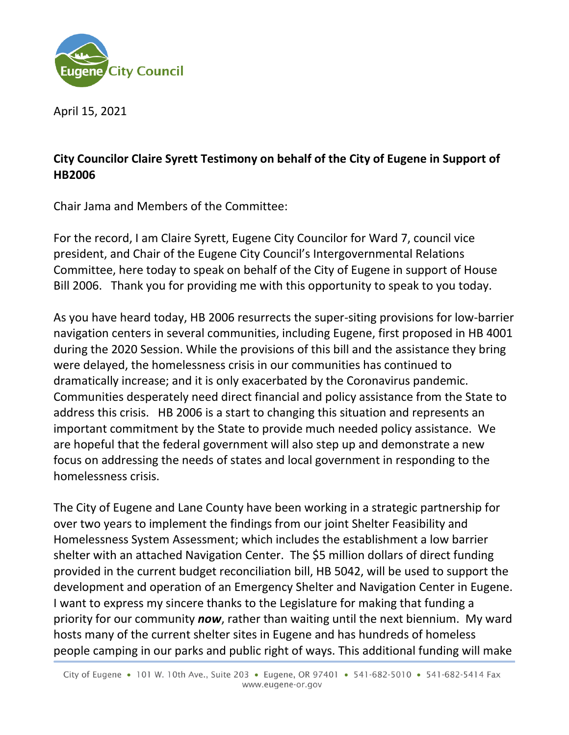

April 15, 2021

## **City Councilor Claire Syrett Testimony on behalf of the City of Eugene in Support of HB2006**

Chair Jama and Members of the Committee:

For the record, I am Claire Syrett, Eugene City Councilor for Ward 7, council vice president, and Chair of the Eugene City Council's Intergovernmental Relations Committee, here today to speak on behalf of the City of Eugene in support of House Bill 2006. Thank you for providing me with this opportunity to speak to you today.

As you have heard today, HB 2006 resurrects the super-siting provisions for low-barrier navigation centers in several communities, including Eugene, first proposed in HB 4001 during the 2020 Session. While the provisions of this bill and the assistance they bring were delayed, the homelessness crisis in our communities has continued to dramatically increase; and it is only exacerbated by the Coronavirus pandemic. Communities desperately need direct financial and policy assistance from the State to address this crisis. HB 2006 is a start to changing this situation and represents an important commitment by the State to provide much needed policy assistance. We are hopeful that the federal government will also step up and demonstrate a new focus on addressing the needs of states and local government in responding to the homelessness crisis.

The City of Eugene and Lane County have been working in a strategic partnership for over two years to implement the findings from our joint Shelter Feasibility and Homelessness System Assessment; which includes the establishment a low barrier shelter with an attached Navigation Center. The \$5 million dollars of direct funding provided in the current budget reconciliation bill, HB 5042, will be used to support the development and operation of an Emergency Shelter and Navigation Center in Eugene. I want to express my sincere thanks to the Legislature for making that funding a priority for our community *now*, rather than waiting until the next biennium. My ward hosts many of the current shelter sites in Eugene and has hundreds of homeless people camping in our parks and public right of ways. This additional funding will make